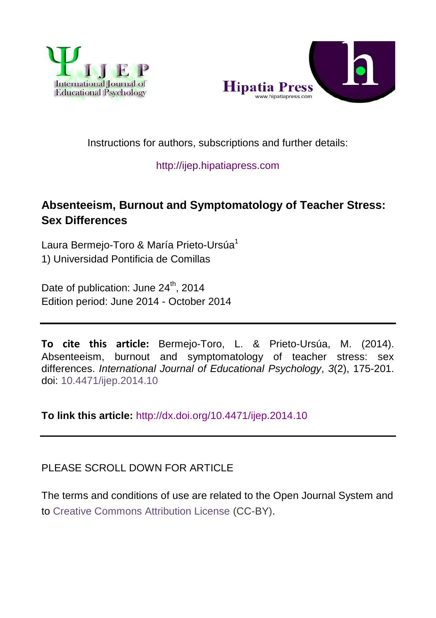



## Instructions for authors, subscriptions and further details:

## [http://ijep.hipatiapress.com](http://ijep.hipatiapress.com/)

# **Absenteeism, Burnout and Symptomatology of Teacher Stress: Sex Differences**

Laura Bermeio-Toro & María Prieto-Ursúa<sup>1</sup> 1) Universidad Pontificia de Comillas

Date of publication: June 24<sup>th</sup>, 2014 Edition period: June 2014 - October 2014

**To cite this article:** Bermejo-Toro, L. & Prieto-Ursúa, M. (2014). Absenteeism, burnout and symptomatology of teacher stress: sex differences. *International Journal of Educational Psychology*, *3*(2), 175-201. doi: [10.4471/ijep.2014.10](http://dx.doi.org/10.4471/ijep.2014.10)

**To link this article:** <http://dx.doi.org/10.4471/ijep.2014.10>

## PLEASE SCROLL DOWN FOR ARTICLE

The terms and conditions of use are related to the Open Journal System and to [Creative Commons Attribution License](http://creativecommons.org/licenses/by/4.0/) (CC-BY).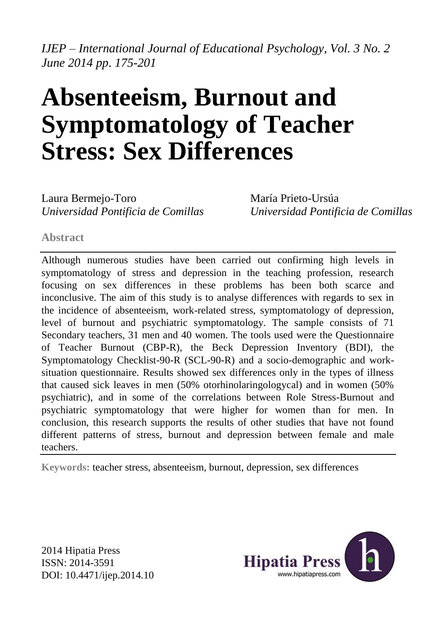*IJEP – International Journal of Educational Psychology, Vol. 3 No. 2 June 2014 pp*. *175-201*

# **Absenteeism, Burnout and Symptomatology of Teacher Stress: Sex Differences**

Laura Bermejo-Toro *Universidad Pontificia de Comillas* María Prieto-Ursúa *Universidad Pontificia de Comillas*

**Abstract**

Although numerous studies have been carried out confirming high levels in symptomatology of stress and depression in the teaching profession, research focusing on sex differences in these problems has been both scarce and inconclusive. The aim of this study is to analyse differences with regards to sex in the incidence of absenteeism, work-related stress, symptomatology of depression, level of burnout and psychiatric symptomatology. The sample consists of 71 Secondary teachers, 31 men and 40 women. The tools used were the Questionnaire of Teacher Burnout (CBP-R), the Beck Depression Inventory (BDI), the Symptomatology Checklist-90-R (SCL-90-R) and a socio-demographic and worksituation questionnaire. Results showed sex differences only in the types of illness that caused sick leaves in men (50% otorhinolaringologycal) and in women (50% psychiatric), and in some of the correlations between Role Stress-Burnout and psychiatric symptomatology that were higher for women than for men. In conclusion, this research supports the results of other studies that have not found different patterns of stress, burnout and depression between female and male teachers.

**Keywords:** teacher stress, absenteeism, burnout, depression, sex differences

2014 Hipatia Press ISSN: 2014-3591 DOI: 10.4471/ijep.2014.10

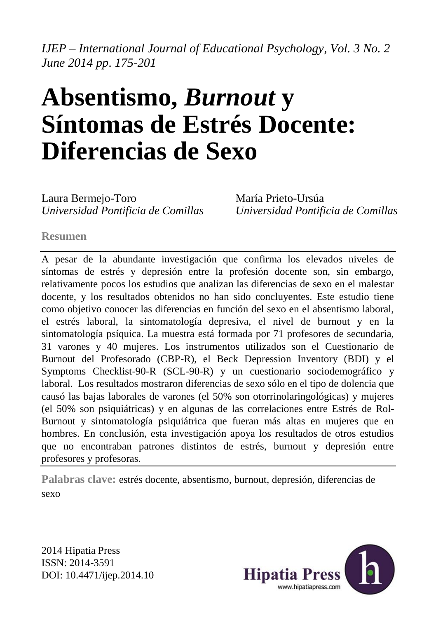*IJEP – International Journal of Educational Psychology, Vol. 3 No. 2 June 2014 pp*. *175-201*

# **Absentismo,** *Burnout* **y Síntomas de Estrés Docente: Diferencias de Sexo**

Laura Bermejo-Toro *Universidad Pontificia de Comillas*  María Prieto-Ursúa *Universidad Pontificia de Comillas*

#### **Resumen**

A pesar de la abundante investigación que confirma los elevados niveles de síntomas de estrés y depresión entre la profesión docente son, sin embargo, relativamente pocos los estudios que analizan las diferencias de sexo en el malestar docente, y los resultados obtenidos no han sido concluyentes. Este estudio tiene como objetivo conocer las diferencias en función del sexo en el absentismo laboral, el estrés laboral, la sintomatología depresiva, el nivel de burnout y en la sintomatología psíquica. La muestra está formada por 71 profesores de secundaria, 31 varones y 40 mujeres. Los instrumentos utilizados son el Cuestionario de Burnout del Profesorado (CBP-R), el Beck Depression Inventory (BDI) y el Symptoms Checklist-90-R (SCL-90-R) y un cuestionario sociodemográfico y laboral. Los resultados mostraron diferencias de sexo sólo en el tipo de dolencia que causó las bajas laborales de varones (el 50% son otorrinolaringológicas) y mujeres (el 50% son psiquiátricas) y en algunas de las correlaciones entre Estrés de Rol-Burnout y sintomatología psiquiátrica que fueran más altas en mujeres que en hombres. En conclusión, esta investigación apoya los resultados de otros estudios que no encontraban patrones distintos de estrés, burnout y depresión entre profesores y profesoras.

**Palabras clave:** estrés docente, absentismo, burnout, depresión, diferencias de sexo

2014 Hipatia Press ISSN: 2014-3591 DOI: 10.4471/ijep.2014.10

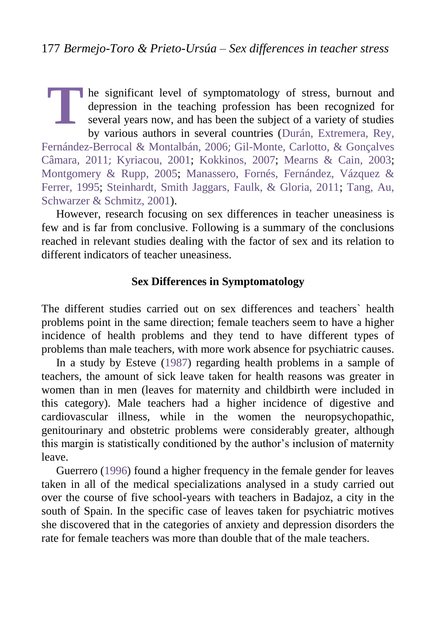he significant level of symptomatology of stress, burnout and depression in the teaching profession has been recognized for several years now, and has been the subject of a variety of studies by various authors in several countries [\(Durán, Extremera, Rey,](#page-25-0)  [Fernández-Berrocal & Montalbán, 2006](#page-25-0); [Gil-Monte, Carlotto, & Gonçalves](#page-25-1)  [Câmara, 2011](#page-25-1); [Kyriacou, 2001;](#page-26-0) [Kokkinos, 2007;](#page-26-1) [Mearns & Cain, 2003;](#page-26-2) [Montgomery & Rupp, 2005;](#page-27-0) [Manassero, Fornés, Fernández, Vázquez &](#page-26-3)  [Ferrer, 1995;](#page-26-3) [Steinhardt, Smith Jaggars, Faulk, & Gloria, 2011;](#page-27-1) [Tang, Au,](#page-27-2)  [Schwarzer & Schmitz, 2001\)](#page-27-2). **T**

However, research focusing on sex differences in teacher uneasiness is few and is far from conclusive. Following is a summary of the conclusions reached in relevant studies dealing with the factor of sex and its relation to different indicators of teacher uneasiness.

## **Sex Differences in Symptomatology**

The different studies carried out on sex differences and teachers` health problems point in the same direction; female teachers seem to have a higher incidence of health problems and they tend to have different types of problems than male teachers, with more work absence for psychiatric causes.

In a study by Esteve [\(1987\)](#page-25-2) regarding health problems in a sample of teachers, the amount of sick leave taken for health reasons was greater in women than in men (leaves for maternity and childbirth were included in this category). Male teachers had a higher incidence of digestive and cardiovascular illness, while in the women the neuropsychopathic, genitourinary and obstetric problems were considerably greater, although this margin is statistically conditioned by the author's inclusion of maternity leave.

Guerrero [\(1996\)](#page-26-4) found a higher frequency in the female gender for leaves taken in all of the medical specializations analysed in a study carried out over the course of five school-years with teachers in Badajoz, a city in the south of Spain. In the specific case of leaves taken for psychiatric motives she discovered that in the categories of anxiety and depression disorders the rate for female teachers was more than double that of the male teachers.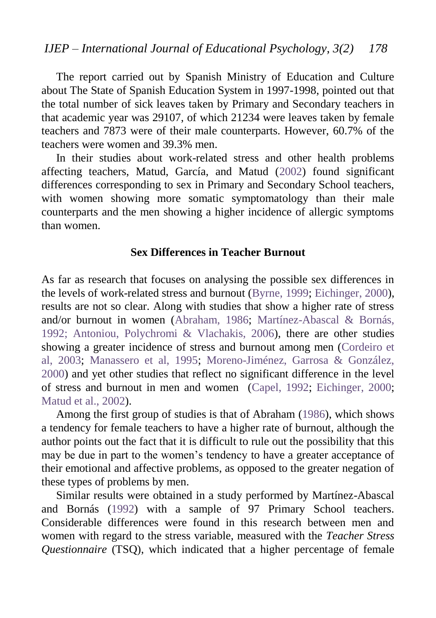The report carried out by Spanish Ministry of Education and Culture about The State of Spanish Education System in 1997-1998, pointed out that the total number of sick leaves taken by Primary and Secondary teachers in that academic year was 29107, of which 21234 were leaves taken by female teachers and 7873 were of their male counterparts. However, 60.7% of the teachers were women and 39.3% men.

In their studies about work-related stress and other health problems affecting teachers, Matud, García, and Matud [\(2002\)](#page-26-5) found significant differences corresponding to sex in Primary and Secondary School teachers, with women showing more somatic symptomatology than their male counterparts and the men showing a higher incidence of allergic symptoms than women.

#### **Sex Differences in Teacher Burnout**

As far as research that focuses on analysing the possible sex differences in the levels of work-related stress and burnout [\(Byrne, 1999;](#page-24-0) [Eichinger, 2000\)](#page-25-3), results are not so clear. Along with studies that show a higher rate of stress and/or burnout in women [\(Abraham, 1986;](#page-24-1) [Martínez-Abascal & Bornás,](#page-26-6)  [1992;](#page-26-6) [Antoniou, Polychromi & Vlachakis, 2006\)](#page-24-2), there are other studies showing a greater incidence of stress and burnout among men [\(Cordeiro et](#page-25-4)  [al, 2003;](#page-25-4) [Manassero et al, 1995;](#page-26-3) [Moreno-Jiménez, Garrosa & González,](#page-27-3)  [2000\)](#page-27-3) and yet other studies that reflect no significant difference in the level of stress and burnout in men and women [\(Capel, 1992;](#page-25-5) [Eichinger, 2000;](#page-25-3) [Matud et al., 2002\)](#page-26-5).

Among the first group of studies is that of Abraham [\(1986\)](#page-24-1), which shows a tendency for female teachers to have a higher rate of burnout, although the author points out the fact that it is difficult to rule out the possibility that this may be due in part to the women's tendency to have a greater acceptance of their emotional and affective problems, as opposed to the greater negation of these types of problems by men.

Similar results were obtained in a study performed by Martínez-Abascal and Bornás [\(1992\)](#page-26-6) with a sample of 97 Primary School teachers. Considerable differences were found in this research between men and women with regard to the stress variable, measured with the *Teacher Stress Questionnaire* (TSQ), which indicated that a higher percentage of female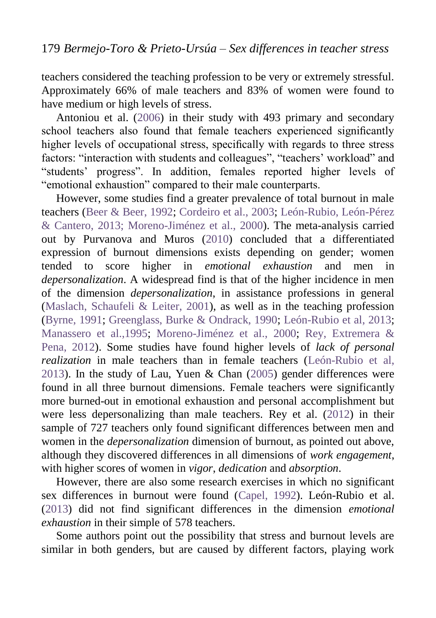teachers considered the teaching profession to be very or extremely stressful. Approximately 66% of male teachers and 83% of women were found to have medium or high levels of stress.

Antoniou et al. [\(2006\)](#page-24-2) in their study with 493 primary and secondary school teachers also found that female teachers experienced significantly higher levels of occupational stress, specifically with regards to three stress factors: "interaction with students and colleagues", "teachers' workload" and "students' progress". In addition, females reported higher levels of "emotional exhaustion" compared to their male counterparts.

However, some studies find a greater prevalence of total burnout in male teachers [\(Beer & Beer, 1992;](#page-24-3) [Cordeiro et al., 2003;](#page-25-4) [León-Rubio, León-Pérez](#page-26-7)  [& Cantero, 2013;](#page-26-7) [Moreno-Jiménez et al., 2000\)](#page-27-3). The meta-analysis carried out by Purvanova and Muros [\(2010\)](#page-27-4) concluded that a differentiated expression of burnout dimensions exists depending on gender; women tended to score higher in *emotional exhaustion* and men in *depersonalization*. A widespread find is that of the higher incidence in men of the dimension *depersonalization*, in assistance professions in general [\(Maslach, Schaufeli & Leiter, 2001\)](#page-26-8), as well as in the teaching profession [\(Byrne, 1991;](#page-24-4) [Greenglass, Burke & Ondrack, 1990;](#page-26-9) [León-Rubio et al, 2013;](#page-26-7) [Manassero et al.,1995;](#page-26-3) [Moreno-Jiménez et al., 2000;](#page-27-3) [Rey, Extremera &](#page-27-5)  [Pena, 2012\)](#page-27-5). Some studies have found higher levels of *lack of personal realization* in male teachers than in female teachers [\(León-Rubio et al,](#page-26-7)  [2013\)](#page-26-7). In the study of Lau, Yuen & Chan [\(2005\)](#page-26-10) gender differences were found in all three burnout dimensions. Female teachers were significantly more burned-out in emotional exhaustion and personal accomplishment but were less depersonalizing than male teachers. Rey et al. [\(2012\)](#page-27-5) in their sample of 727 teachers only found significant differences between men and women in the *depersonalization* dimension of burnout, as pointed out above, although they discovered differences in all dimensions of *work engagement*, with higher scores of women in *vigor*, *dedication* and *absorption*.

However, there are also some research exercises in which no significant sex differences in burnout were found [\(Capel, 1992\)](#page-25-5). León-Rubio et al. [\(2013\)](#page-26-7) did not find significant differences in the dimension *emotional exhaustion* in their simple of 578 teachers.

Some authors point out the possibility that stress and burnout levels are similar in both genders, but are caused by different factors, playing work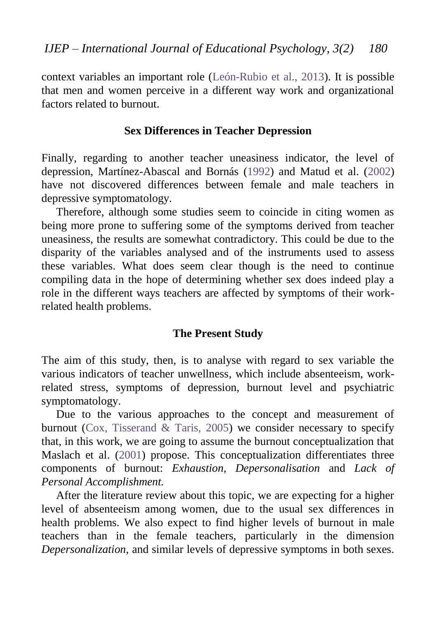context variables an important role [\(León-Rubio et al., 2013\)](#page-26-7). It is possible that men and women perceive in a different way work and organizational factors related to burnout.

#### **Sex Differences in Teacher Depression**

Finally, regarding to another teacher uneasiness indicator, the level of depression, Martínez-Abascal and Bornás [\(1992\)](#page-26-6) and Matud et al. [\(2002\)](#page-26-5) have not discovered differences between female and male teachers in depressive symptomatology.

Therefore, although some studies seem to coincide in citing women as being more prone to suffering some of the symptoms derived from teacher uneasiness, the results are somewhat contradictory. This could be due to the disparity of the variables analysed and of the instruments used to assess these variables. What does seem clear though is the need to continue compiling data in the hope of determining whether sex does indeed play a role in the different ways teachers are affected by symptoms of their workrelated health problems.

### **The Present Study**

The aim of this study, then, is to analyse with regard to sex variable the various indicators of teacher unwellness, which include absenteeism, workrelated stress, symptoms of depression, burnout level and psychiatric symptomatology.

Due to the various approaches to the concept and measurement of burnout [\(Cox, Tisserand & Taris, 2005\)](#page-25-6) we consider necessary to specify that, in this work, we are going to assume the burnout conceptualization that Maslach et al. [\(2001\)](#page-26-8) propose. This conceptualization differentiates three components of burnout: *Exhaustion*, *Depersonalisation* and *Lack of Personal Accomplishment.* 

After the literature review about this topic, we are expecting for a higher level of absenteeism among women, due to the usual sex differences in health problems. We also expect to find higher levels of burnout in male teachers than in the female teachers, particularly in the dimension *Depersonalization*, and similar levels of depressive symptoms in both sexes.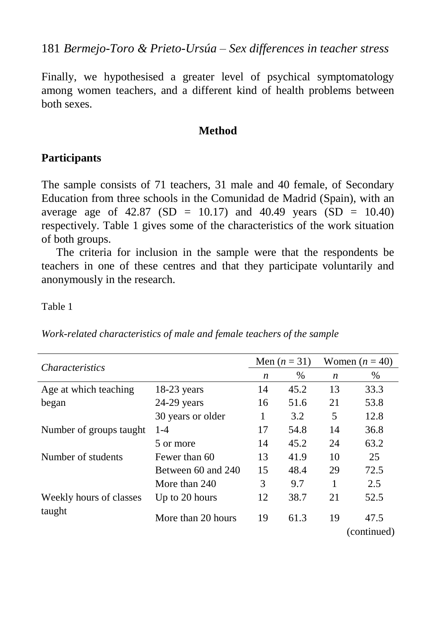181 *Bermejo-Toro & Prieto-Ursúa – Sex differences in teacher stress*

Finally, we hypothesised a greater level of psychical symptomatology among women teachers, and a different kind of health problems between both sexes.

#### **Method**

### **Participants**

The sample consists of 71 teachers, 31 male and 40 female, of Secondary Education from three schools in the Comunidad de Madrid (Spain), with an average age of  $42.87$  (SD = 10.17) and  $40.49$  years (SD = 10.40) respectively. Table 1 gives some of the characteristics of the work situation of both groups.

The criteria for inclusion in the sample were that the respondents be teachers in one of these centres and that they participate voluntarily and anonymously in the research.

Table 1

*Work-related characteristics of male and female teachers of the sample*

| <i>Characteristics</i>  |                    |    | Men $(n = 31)$ | Women $(n = 40)$ |                     |  |
|-------------------------|--------------------|----|----------------|------------------|---------------------|--|
|                         |                    | n  | $\%$           | $\boldsymbol{n}$ | $\%$                |  |
| Age at which teaching   | $18-23$ years      | 14 | 45.2           | 13               | 33.3                |  |
| began                   | 24-29 years        | 16 | 51.6           | 21               | 53.8                |  |
|                         | 30 years or older  | 1  | 3.2            | 5                | 12.8                |  |
| Number of groups taught | $1 - 4$            | 17 | 54.8           | 14               | 36.8                |  |
|                         | 5 or more          | 14 | 45.2           | 24               | 63.2                |  |
| Number of students      | Fewer than 60      | 13 | 41.9           | 10               | 25                  |  |
|                         | Between 60 and 240 | 15 | 48.4           | 29               | 72.5                |  |
|                         | More than 240      | 3  | 9.7            | 1                | 2.5                 |  |
| Weekly hours of classes | Up to 20 hours     | 12 | 38.7           | 21               | 52.5                |  |
| taught                  | More than 20 hours | 19 | 61.3           | 19               | 47.5<br>(continued) |  |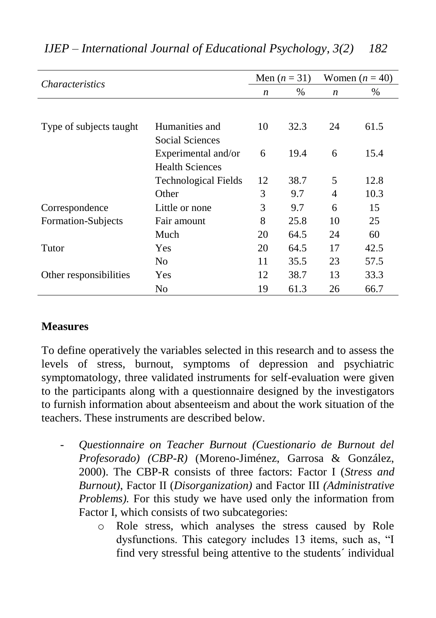| <i>Characteristics</i>  |                                               |                  | Men $(n = 31)$ | Women $(n = 40)$ |      |  |
|-------------------------|-----------------------------------------------|------------------|----------------|------------------|------|--|
|                         |                                               | $\boldsymbol{n}$ | $\%$           | $\boldsymbol{n}$ | $\%$ |  |
|                         |                                               |                  |                |                  |      |  |
| Type of subjects taught | Humanities and<br>Social Sciences             | 10               | 32.3           | 24               | 61.5 |  |
|                         | Experimental and/or<br><b>Health Sciences</b> | 6                | 19.4           | 6                | 15.4 |  |
|                         | <b>Technological Fields</b>                   | 12               | 38.7           | 5                | 12.8 |  |
|                         | Other                                         | 3                | 9.7            | 4                | 10.3 |  |
| Correspondence          | Little or none                                | 3                | 9.7            | 6                | 15   |  |
| Formation-Subjects      | Fair amount                                   | 8                | 25.8           | 10               | 25   |  |
|                         | Much                                          | 20               | 64.5           | 24               | 60   |  |
| Tutor                   | Yes                                           | 20               | 64.5           | 17               | 42.5 |  |
|                         | N <sub>0</sub>                                | 11               | 35.5           | 23               | 57.5 |  |
| Other responsibilities  | Yes                                           | 12               | 38.7           | 13               | 33.3 |  |
|                         | No                                            | 19               | 61.3           | 26               | 66.7 |  |

## *IJEP – International Journal of Educational Psychology, 3(2) 182*

### **Measures**

To define operatively the variables selected in this research and to assess the levels of stress, burnout, symptoms of depression and psychiatric symptomatology, three validated instruments for self-evaluation were given to the participants along with a questionnaire designed by the investigators to furnish information about absenteeism and about the work situation of the teachers. These instruments are described below.

- *Questionnaire on Teacher Burnout (Cuestionario de Burnout del Profesorado) (CBP-R)* (Moreno-Jiménez, Garrosa & González, 2000). The CBP-R consists of three factors: Factor I (*Stress and Burnout)*, Factor II (*Disorganization)* and Factor III *(Administrative Problems).* For this study we have used only the information from Factor I, which consists of two subcategories:
	- o Role stress, which analyses the stress caused by Role dysfunctions. This category includes 13 items, such as, "I find very stressful being attentive to the students´ individual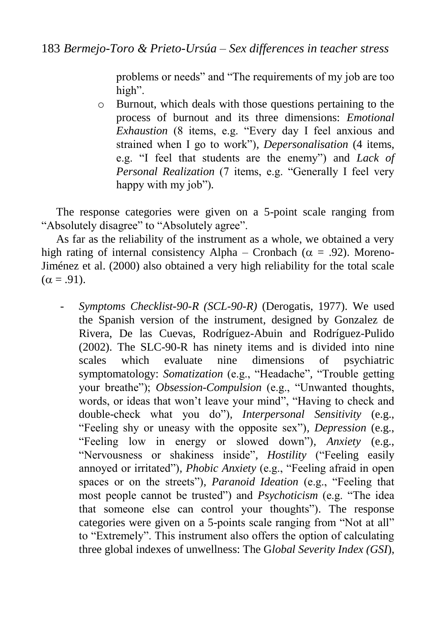problems or needs" and "The requirements of my job are too high".

o Burnout, which deals with those questions pertaining to the process of burnout and its three dimensions: *Emotional Exhaustion* (8 items, e.g. "Every day I feel anxious and strained when I go to work")*, Depersonalisation* (4 items, e.g. "I feel that students are the enemy") and *Lack of Personal Realization* (7 items, e.g. "Generally I feel very happy with my job")*.*

The response categories were given on a 5-point scale ranging from "Absolutely disagree" to "Absolutely agree".

As far as the reliability of the instrument as a whole, we obtained a very high rating of internal consistency Alpha – Cronbach ( $\alpha = .92$ ). Moreno-Jiménez et al. (2000) also obtained a very high reliability for the total scale  $(\alpha = .91)$ .

- *Symptoms Checklist-90-R (SCL-90-R)* (Derogatis, 1977). We used the Spanish version of the instrument, designed by Gonzalez de Rivera, De las Cuevas, Rodríguez-Abuin and Rodríguez-Pulido (2002). The SLC-90-R has ninety items and is divided into nine scales which evaluate nine dimensions of psychiatric symptomatology: *Somatization* (e.g., "Headache"*,* "Trouble getting your breathe"); *Obsession-Compulsion* (e.g., "Unwanted thoughts, words, or ideas that won't leave your mind", "Having to check and double-check what you do")*, Interpersonal Sensitivity* (e.g., "Feeling shy or uneasy with the opposite sex")*, Depression* (e.g., "Feeling low in energy or slowed down")*, Anxiety* (e.g., "Nervousness or shakiness inside"*, Hostility* ("Feeling easily annoyed or irritated")*, Phobic Anxiety* (e.g., "Feeling afraid in open spaces or on the streets")*, Paranoid Ideation* (e.g., "Feeling that most people cannot be trusted") and *Psychoticism* (e.g. "The idea that someone else can control your thoughts"). The response categories were given on a 5-points scale ranging from "Not at all" to "Extremely". This instrument also offers the option of calculating three global indexes of unwellness: The G*lobal Severity Index (GSI*),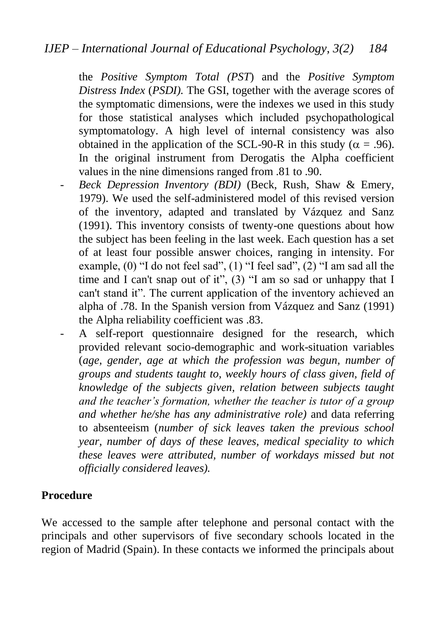the *Positive Symptom Total (PST*) and the *Positive Symptom Distress Index* (*PSDI).* The GSI, together with the average scores of the symptomatic dimensions, were the indexes we used in this study for those statistical analyses which included psychopathological symptomatology. A high level of internal consistency was also obtained in the application of the SCL-90-R in this study ( $\alpha = .96$ ). In the original instrument from Derogatis the Alpha coefficient values in the nine dimensions ranged from .81 to .90.

- Beck Depression Inventory (BDI) (Beck, Rush, Shaw & Emery, 1979). We used the self-administered model of this revised version of the inventory, adapted and translated by Vázquez and Sanz (1991). This inventory consists of twenty-one questions about how the subject has been feeling in the last week. Each question has a set of at least four possible answer choices, ranging in intensity. For example, (0) "I do not feel sad", (1) "I feel sad", (2) "I am sad all the time and I can't snap out of it", (3) "I am so sad or unhappy that I can't stand it". The current application of the inventory achieved an alpha of .78. In the Spanish version from Vázquez and Sanz (1991) the Alpha reliability coefficient was .83.
- A self-report questionnaire designed for the research, which provided relevant socio-demographic and work-situation variables (*age, gender, age at which the profession was begun, number of groups and students taught to, weekly hours of class given, field of knowledge of the subjects given, relation between subjects taught and the teacher's formation, whether the teacher is tutor of a group and whether he/she has any administrative role)* and data referring to absenteeism (*number of sick leaves taken the previous school year, number of days of these leaves, medical speciality to which these leaves were attributed, number of workdays missed but not officially considered leaves).*

## **Procedure**

We accessed to the sample after telephone and personal contact with the principals and other supervisors of five secondary schools located in the region of Madrid (Spain). In these contacts we informed the principals about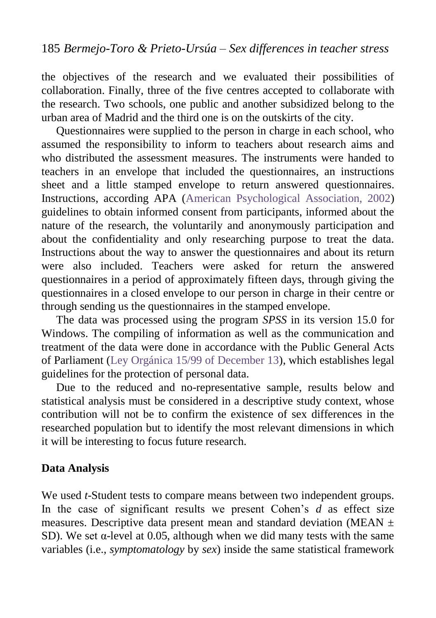the objectives of the research and we evaluated their possibilities of collaboration. Finally, three of the five centres accepted to collaborate with the research. Two schools, one public and another subsidized belong to the urban area of Madrid and the third one is on the outskirts of the city.

Questionnaires were supplied to the person in charge in each school, who assumed the responsibility to inform to teachers about research aims and who distributed the assessment measures. The instruments were handed to teachers in an envelope that included the questionnaires, an instructions sheet and a little stamped envelope to return answered questionnaires. Instructions, according APA [\(American Psychological Association, 2002\)](#page-24-5) guidelines to obtain informed consent from participants, informed about the nature of the research, the voluntarily and anonymously participation and about the confidentiality and only researching purpose to treat the data. Instructions about the way to answer the questionnaires and about its return were also included. Teachers were asked for return the answered questionnaires in a period of approximately fifteen days, through giving the questionnaires in a closed envelope to our person in charge in their centre or through sending us the questionnaires in the stamped envelope.

The data was processed using the program *SPSS* in its version 15.0 for Windows. The compiling of information as well as the communication and treatment of the data were done in accordance with the Public General Acts of Parliament [\(Ley Orgánica 15/99 of December 13\)](#page-26-11), which establishes legal guidelines for the protection of personal data.

Due to the reduced and no-representative sample, results below and statistical analysis must be considered in a descriptive study context, whose contribution will not be to confirm the existence of sex differences in the researched population but to identify the most relevant dimensions in which it will be interesting to focus future research.

## **Data Analysis**

We used *t*-Student tests to compare means between two independent groups. In the case of significant results we present Cohen's *d* as effect size measures. Descriptive data present mean and standard deviation (MEAN  $\pm$ SD). We set α-level at 0.05, although when we did many tests with the same variables (i.e., *symptomatology* by *sex*) inside the same statistical framework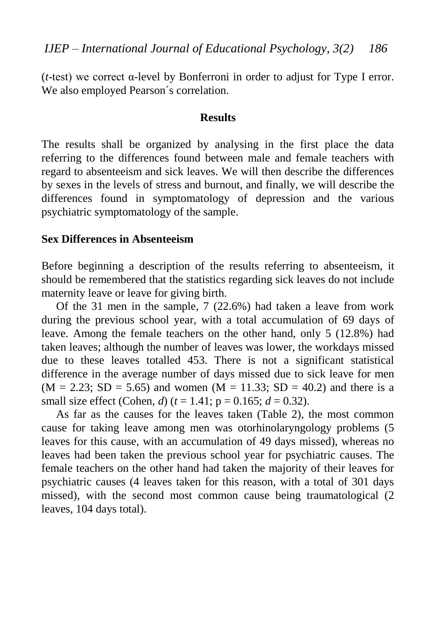(*t*-test) we correct α-level by Bonferroni in order to adjust for Type I error. We also employed Pearson´s correlation.

#### **Results**

The results shall be organized by analysing in the first place the data referring to the differences found between male and female teachers with regard to absenteeism and sick leaves. We will then describe the differences by sexes in the levels of stress and burnout, and finally, we will describe the differences found in symptomatology of depression and the various psychiatric symptomatology of the sample.

#### **Sex Differences in Absenteeism**

Before beginning a description of the results referring to absenteeism, it should be remembered that the statistics regarding sick leaves do not include maternity leave or leave for giving birth.

Of the 31 men in the sample, 7 (22.6%) had taken a leave from work during the previous school year, with a total accumulation of 69 days of leave. Among the female teachers on the other hand, only 5 (12.8%) had taken leaves; although the number of leaves was lower, the workdays missed due to these leaves totalled 453. There is not a significant statistical difference in the average number of days missed due to sick leave for men  $(M = 2.23; SD = 5.65)$  and women  $(M = 11.33; SD = 40.2)$  and there is a small size effect (Cohen, *d*) ( $t = 1.41$ ;  $p = 0.165$ ;  $d = 0.32$ ).

As far as the causes for the leaves taken (Table 2), the most common cause for taking leave among men was otorhinolaryngology problems (5 leaves for this cause, with an accumulation of 49 days missed), whereas no leaves had been taken the previous school year for psychiatric causes. The female teachers on the other hand had taken the majority of their leaves for psychiatric causes (4 leaves taken for this reason, with a total of 301 days missed), with the second most common cause being traumatological (2 leaves, 104 days total).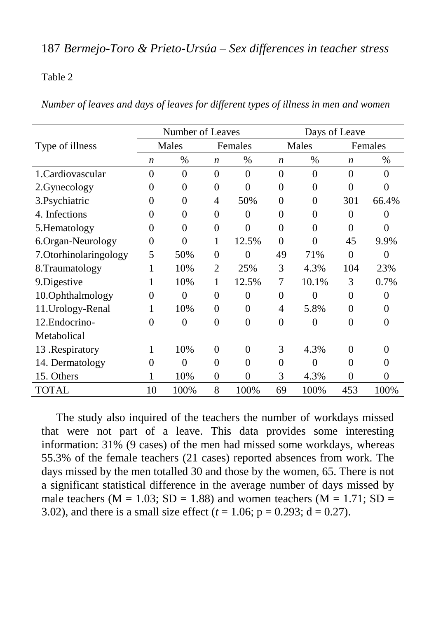## 187 *Bermejo-Toro & Prieto-Ursúa – Sex differences in teacher stress*

#### Table 2

*Number of leaves and days of leaves for different types of illness in men and women*

|                        |                  | Number of Leaves |                  |          | Days of Leave    |          |                  |                   |  |  |  |
|------------------------|------------------|------------------|------------------|----------|------------------|----------|------------------|-------------------|--|--|--|
| Type of illness        |                  | Males            |                  | Females  |                  | Males    |                  | Females           |  |  |  |
|                        | $\boldsymbol{n}$ | $\%$             | $\boldsymbol{n}$ | $\%$     | $\boldsymbol{n}$ | $\%$     | $\boldsymbol{n}$ | $\%$              |  |  |  |
| 1. Cardiovascular      | $\theta$         | $\Omega$         | $\Omega$         | $\Omega$ | $\theta$         | $\Omega$ | $\theta$         | $\Omega$          |  |  |  |
| 2. Gynecology          | 0                | 0                | 0                | 0        | 0                | 0        | 0                |                   |  |  |  |
| 3. Psychiatric         | 0                | $\theta$         | 4                | 50%      | $\Omega$         | 0        | 301              | 66.4%             |  |  |  |
| 4. Infections          | 0                | $\Omega$         | 0                | 0        | $\Omega$         | 0        | 0                |                   |  |  |  |
| 5. Hematology          | 0                | $\Omega$         | $\theta$         | $\theta$ | $\Omega$         | 0        | $\Omega$         |                   |  |  |  |
| 6.Organ-Neurology      | $\theta$         | $\theta$         | 1                | 12.5%    | $\Omega$         | $\Omega$ | 45               | 9.9%              |  |  |  |
| 7. Otorhinolaringology | 5                | 50%              | $\Omega$         | $\theta$ | 49               | 71%      | $\theta$         | 0                 |  |  |  |
| 8. Traumatology        |                  | 10%              | 2                | 25%      | 3                | 4.3%     | 104              | 23%               |  |  |  |
| 9.Digestive            |                  | 10%              | 1                | 12.5%    | 7                | 10.1%    | 3                | 0.7%              |  |  |  |
| 10.Ophthalmology       | $\Omega$         | $\Omega$         | $\theta$         | $\theta$ | $\Omega$         | 0        | $\theta$         | $\mathbf{\Omega}$ |  |  |  |
| 11.Urology-Renal       |                  | 10%              | 0                | 0        | 4                | 5.8%     | 0                |                   |  |  |  |
| 12. Endocrino-         | $\Omega$         | $\Omega$         | $\Omega$         | $\Omega$ | $\theta$         | $\Omega$ | $\theta$         |                   |  |  |  |
| Metabolical            |                  |                  |                  |          |                  |          |                  |                   |  |  |  |
| 13 .Respiratory        |                  | 10%              | 0                | 0        | 3                | 4.3%     | 0                |                   |  |  |  |
| 14. Dermatology        | 0                | $\theta$         | $_{0}$           | 0        | $\Omega$         | 0        | 0                |                   |  |  |  |
| 15. Others             |                  | 10%              | 0                | $\theta$ | 3                | 4.3%     | $\theta$         |                   |  |  |  |
| TOTAL                  | 10               | 100%             | 8                | 100%     | 69               | 100%     | 453              | 100%              |  |  |  |

The study also inquired of the teachers the number of workdays missed that were not part of a leave. This data provides some interesting information: 31% (9 cases) of the men had missed some workdays, whereas 55.3% of the female teachers (21 cases) reported absences from work. The days missed by the men totalled 30 and those by the women, 65. There is not a significant statistical difference in the average number of days missed by male teachers ( $M = 1.03$ ; SD = 1.88) and women teachers ( $M = 1.71$ ; SD = 3.02), and there is a small size effect  $(t = 1.06; p = 0.293; d = 0.27)$ .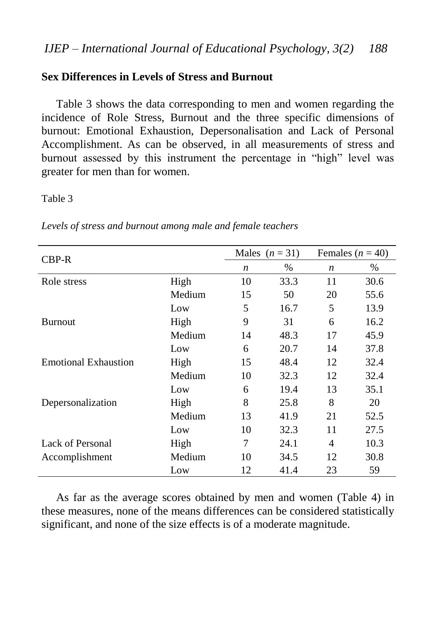## **Sex Differences in Levels of Stress and Burnout**

Table 3 shows the data corresponding to men and women regarding the incidence of Role Stress, Burnout and the three specific dimensions of burnout: Emotional Exhaustion, Depersonalisation and Lack of Personal Accomplishment. As can be observed, in all measurements of stress and burnout assessed by this instrument the percentage in "high" level was greater for men than for women.

#### Table 3

| $CBP-R$                     |        |                  | Males $(n=31)$ | Females ( $n = 40$ )     |      |  |
|-----------------------------|--------|------------------|----------------|--------------------------|------|--|
|                             |        | $\boldsymbol{n}$ | $\%$           | n                        | $\%$ |  |
| Role stress                 | High   | 10               | 33.3           | 11                       | 30.6 |  |
|                             | Medium | 15               | 50             | 20                       | 55.6 |  |
|                             | Low    | 5                | 16.7           | 5                        | 13.9 |  |
| <b>Burnout</b>              | High   | 9                | 31             | 6                        | 16.2 |  |
|                             | Medium | 14               | 48.3           | 17                       | 45.9 |  |
|                             | Low    | 6                | 20.7           | 14                       | 37.8 |  |
| <b>Emotional Exhaustion</b> | High   | 15               | 48.4           | 12                       | 32.4 |  |
|                             | Medium | 10               | 32.3           | 12                       | 32.4 |  |
|                             | Low    | 6                | 19.4           | 13                       | 35.1 |  |
| Depersonalization           | High   | 8                | 25.8           | 8                        | 20   |  |
|                             | Medium | 13               | 41.9           | 21                       | 52.5 |  |
|                             | Low    | 10               | 32.3           | 11                       | 27.5 |  |
| Lack of Personal            | High   | 7                | 24.1           | $\overline{\mathcal{A}}$ | 10.3 |  |
| Accomplishment              | Medium | 10               | 34.5           | 12                       | 30.8 |  |
|                             | Low    | 12               | 41.4           | 23                       | 59   |  |

*Levels of stress and burnout among male and female teachers*

As far as the average scores obtained by men and women (Table 4) in these measures, none of the means differences can be considered statistically significant, and none of the size effects is of a moderate magnitude.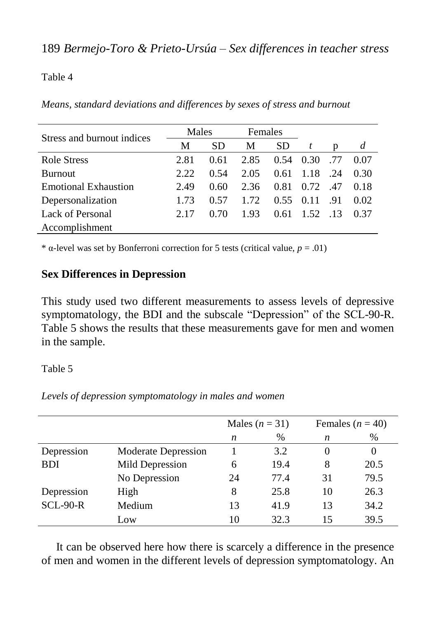#### Table 4

| Stress and burnout indices  | Males |           | Females |           |      |     |      |
|-----------------------------|-------|-----------|---------|-----------|------|-----|------|
|                             | M     | <b>SD</b> | M       | <b>SD</b> | t    | p   | d    |
| <b>Role Stress</b>          | 2.81  | 0.61      | 2.85    | 0.54      | 0.30 | .77 | 0.07 |
| <b>Burnout</b>              | 2.22  | 0.54      | 2.05    | 0.61      | 1.18 | -24 | 0.30 |
| <b>Emotional Exhaustion</b> | 2.49  | 0.60      | 2.36    | 0.81      | 0.72 | .47 | 0.18 |
| Depersonalization           | 1.73  | 0.57      | 1.72    | 0.55      | 0.11 | .91 | 0.02 |
| Lack of Personal            | 2.17  | 0.70      | 1.93    | 0.61      | 1.52 | .13 | 0.37 |
| Accomplishment              |       |           |         |           |      |     |      |

*Means, standard deviations and differences by sexes of stress and burnout*

<sup>\*</sup>  $\alpha$ -level was set by Bonferroni correction for 5 tests (critical value,  $p = .01$ )

## **Sex Differences in Depression**

This study used two different measurements to assess levels of depressive symptomatology, the BDI and the subscale "Depression" of the SCL-90-R. Table 5 shows the results that these measurements gave for men and women in the sample.

Table 5

*Levels of depression symptomatology in males and women*

|            |                     |    | Males $(n = 31)$ | Females $(n = 40)$ |          |  |  |
|------------|---------------------|----|------------------|--------------------|----------|--|--|
|            |                     | n  | $\%$             | n                  | %        |  |  |
| Depression | Moderate Depression |    | 3.2              | $\theta$           | $\theta$ |  |  |
| <b>BDI</b> | Mild Depression     | 6  | 19.4             | 8                  | 20.5     |  |  |
|            | No Depression       | 24 | 77.4             | 31                 | 79.5     |  |  |
| Depression | High                | 8  | 25.8             | 10                 | 26.3     |  |  |
| $SCL-90-R$ | Medium              | 13 | 41.9             | 13                 | 34.2     |  |  |
|            | Low                 | 10 | 32.3             | 15                 | 39.5     |  |  |

It can be observed here how there is scarcely a difference in the presence of men and women in the different levels of depression symptomatology. An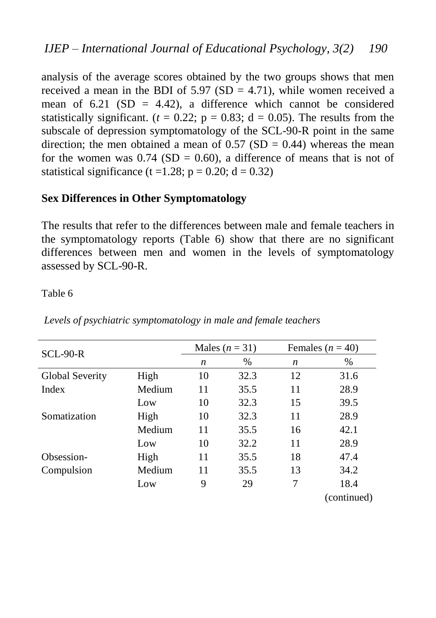analysis of the average scores obtained by the two groups shows that men received a mean in the BDI of  $5.97$  (SD = 4.71), while women received a mean of 6.21 (SD = 4.42), a difference which cannot be considered statistically significant. ( $t = 0.22$ ;  $p = 0.83$ ;  $d = 0.05$ ). The results from the subscale of depression symptomatology of the SCL-90-R point in the same direction; the men obtained a mean of  $0.57$  (SD = 0.44) whereas the mean for the women was  $0.74$  (SD = 0.60), a difference of means that is not of statistical significance (t = 1.28; p = 0.20; d = 0.32)

## **Sex Differences in Other Symptomatology**

The results that refer to the differences between male and female teachers in the symptomatology reports (Table 6) show that there are no significant differences between men and women in the levels of symptomatology assessed by SCL-90-R.

Table 6

| $SCL-90-R$      |        |    | Males $(n = 31)$ | Females ( $n = 40$ ) |             |  |  |  |
|-----------------|--------|----|------------------|----------------------|-------------|--|--|--|
|                 |        | n  | $\%$             | n                    | $\%$        |  |  |  |
| Global Severity | High   | 10 | 32.3             | 12                   | 31.6        |  |  |  |
| Index           | Medium | 11 | 35.5             | 11                   | 28.9        |  |  |  |
|                 | Low    | 10 | 32.3             | 15                   | 39.5        |  |  |  |
| Somatization    | High   | 10 | 32.3             | 11                   | 28.9        |  |  |  |
|                 | Medium | 11 | 35.5             | 16                   | 42.1        |  |  |  |
|                 | Low    | 10 | 32.2             | 11                   | 28.9        |  |  |  |
| Obsession-      | High   | 11 | 35.5             | 18                   | 47.4        |  |  |  |
| Compulsion      | Medium | 11 | 35.5             | 13                   | 34.2        |  |  |  |
|                 | Low    | 9  | 29               | 7                    | 18.4        |  |  |  |
|                 |        |    |                  |                      | (continued) |  |  |  |

*Levels of psychiatric symptomatology in male and female teachers*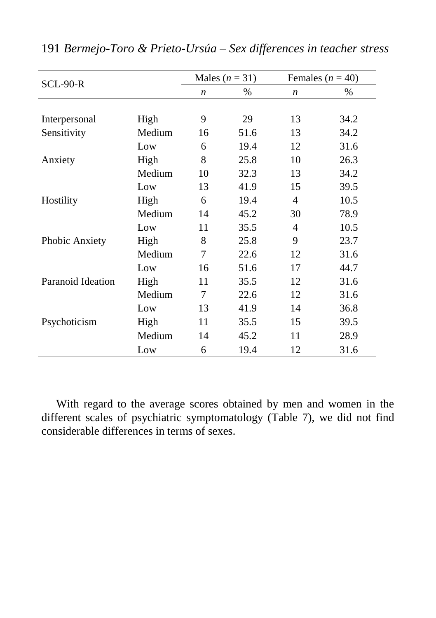| <b>SCL-90-R</b>   |        |                  | Males $(n = 31)$ | Females ( $n = 40$ ) |      |  |  |  |
|-------------------|--------|------------------|------------------|----------------------|------|--|--|--|
|                   |        | $\boldsymbol{n}$ | $\%$             | $\boldsymbol{n}$     | $\%$ |  |  |  |
|                   |        |                  |                  |                      |      |  |  |  |
| Interpersonal     | High   | 9                | 29               | 13                   | 34.2 |  |  |  |
| Sensitivity       | Medium | 16               | 51.6             | 13                   | 34.2 |  |  |  |
|                   | Low    | 6                | 19.4             | 12                   | 31.6 |  |  |  |
| Anxiety           | High   | 8                | 25.8             | 10                   | 26.3 |  |  |  |
|                   | Medium | 10               | 32.3             | 13                   | 34.2 |  |  |  |
|                   | Low    | 13               | 41.9             | 15                   | 39.5 |  |  |  |
| Hostility         | High   | 6                | 19.4             | $\overline{4}$       | 10.5 |  |  |  |
|                   | Medium | 14               | 45.2             | 30                   | 78.9 |  |  |  |
|                   | Low    | 11               | 35.5             | 4                    | 10.5 |  |  |  |
| Phobic Anxiety    | High   | 8                | 25.8             | 9                    | 23.7 |  |  |  |
|                   | Medium | 7                | 22.6             | 12                   | 31.6 |  |  |  |
|                   | Low    | 16               | 51.6             | 17                   | 44.7 |  |  |  |
| Paranoid Ideation | High   | 11               | 35.5             | 12                   | 31.6 |  |  |  |
|                   | Medium | 7                | 22.6             | 12                   | 31.6 |  |  |  |
|                   | Low    | 13               | 41.9             | 14                   | 36.8 |  |  |  |
| Psychoticism      | High   | 11               | 35.5             | 15                   | 39.5 |  |  |  |
|                   | Medium | 14               | 45.2             | 11                   | 28.9 |  |  |  |
|                   | Low    | 6                | 19.4             | 12                   | 31.6 |  |  |  |

191 *Bermejo-Toro & Prieto-Ursúa – Sex differences in teacher stress*

With regard to the average scores obtained by men and women in the different scales of psychiatric symptomatology (Table 7), we did not find considerable differences in terms of sexes.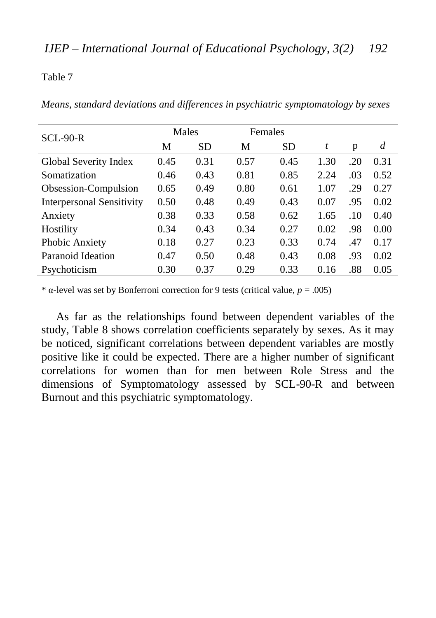Table 7

*Means, standard deviations and differences in psychiatric symptomatology by sexes*

| $SCL-90-R$                       |      | Males     |      | Females   |      |     |      |
|----------------------------------|------|-----------|------|-----------|------|-----|------|
|                                  | М    | <b>SD</b> | M    | <b>SD</b> | t    | p   | d    |
| Global Severity Index            | 0.45 | 0.31      | 0.57 | 0.45      | 1.30 | .20 | 0.31 |
| Somatization                     | 0.46 | 0.43      | 0.81 | 0.85      | 2.24 | .03 | 0.52 |
| Obsession-Compulsion             | 0.65 | 0.49      | 0.80 | 0.61      | 1.07 | .29 | 0.27 |
| <b>Interpersonal Sensitivity</b> | 0.50 | 0.48      | 0.49 | 0.43      | 0.07 | .95 | 0.02 |
| Anxiety                          | 0.38 | 0.33      | 0.58 | 0.62      | 1.65 | .10 | 0.40 |
| Hostility                        | 0.34 | 0.43      | 0.34 | 0.27      | 0.02 | .98 | 0.00 |
| Phobic Anxiety                   | 0.18 | 0.27      | 0.23 | 0.33      | 0.74 | .47 | 0.17 |
| Paranoid Ideation                | 0.47 | 0.50      | 0.48 | 0.43      | 0.08 | .93 | 0.02 |
| Psychoticism                     | 0.30 | 0.37      | 0.29 | 0.33      | 0.16 | .88 | 0.05 |

\* α-level was set by Bonferroni correction for 9 tests (critical value, *p* = .005)

As far as the relationships found between dependent variables of the study, Table 8 shows correlation coefficients separately by sexes. As it may be noticed, significant correlations between dependent variables are mostly positive like it could be expected. There are a higher number of significant correlations for women than for men between Role Stress and the dimensions of Symptomatology assessed by SCL-90-R and between Burnout and this psychiatric symptomatology.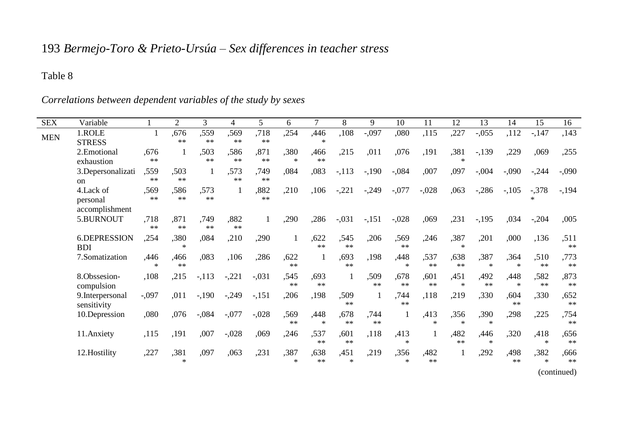# 193 *Bermejo-Toro & Prieto-Ursúa – Sex differences in teacher stress*

### Table 8

| <b>SEX</b> | Variable                                |                          | $\overline{2}$     | 3                  | 4            | 5          | 6             | 7              | 8                    | 9            | 10              | 11           | 12                    | 13             | 14          | 15             | 16           |
|------------|-----------------------------------------|--------------------------|--------------------|--------------------|--------------|------------|---------------|----------------|----------------------|--------------|-----------------|--------------|-----------------------|----------------|-------------|----------------|--------------|
| <b>MEN</b> | 1.ROLE<br><b>STRESS</b>                 | 1                        | ,676<br>**         | ,559<br>**         | .569<br>**   | ,718<br>** | ,254          | ,446           | ,108                 | $-.097$      | ,080            | ,115         | ,227                  | $-.055$        | ,112        | $-147$         | ,143         |
|            | 2. Emotional<br>exhaustion              | .676<br>**               | 1                  | ,503<br>**         | .586<br>**   | ,871<br>** | .380<br>$\gg$ | .466<br>$**$   | ,215                 | ,011         | ,076            | ,191         | .381<br>$\frac{1}{2}$ | $-139$         | ,229        | ,069           | ,255         |
|            | 3. Depersonalizati<br>on                | .559<br>$\ast\ast$       | .503<br>$\ast\ast$ |                    | ,573<br>**   | .749<br>米米 | ,084          | ,083           | $-113$               | $-190$       | $-.084$         | ,007         | ,097                  | $-.004$        | $-.090$     | $-.244$        | $-.090$      |
|            | 4.Lack of<br>personal<br>accomplishment | ,569<br>**               | .586<br>$\ast\ast$ | .573<br>$**$       | 1            | ,882<br>** | ,210          | ,106           | $-.221$              | $-.249$      | $-.077$         | $-.028$      | .063                  | $-.286$        | $-.105$     | $-.378$        | $-194$       |
|            | 5.BURNOUT                               | ,718<br>$**$             | ,871<br>**         | .749<br>$\ast\ast$ | ,882<br>$**$ | 1          | ,290          | ,286           | $-.031$              | $-151$       | $-.028$         | ,069         | ,231                  | $-195$         | ,034        | $-.204$        | ,005         |
|            | 6.DEPRESSION<br><b>BDI</b>              | ,254                     | ,380<br>$\ast$     | ,084               | ,210         | ,290       | $\mathbf{1}$  | ,622<br>$**$   | ,545<br>$**$         | ,206         | .569<br>**      | ,246         | ,387<br>$\ast$        | ,201           | ,000        | ,136           | ,511<br>**   |
|            | 7.Somatization                          | .446<br>$\frac{1}{2\pi}$ | ,466<br>**         | ,083               | ,106         | ,286       | ,622<br>**    |                | .693<br>**           | .198         | .448<br>$\ast$  | .537<br>$**$ | .638<br>$**$          | .387<br>$\ast$ | .364<br>$*$ | .510<br>$**$   | ,773<br>**   |
|            | 8.Obssesion-<br>compulsion              | ,108                     | ,215               | $-.113$            | $-.221$      | $-.031$    | .545<br>**    | .693<br>$**$   |                      | .509<br>**   | .678<br>**      | ,601<br>$**$ | ,451<br>$\ast$        | ,492<br>$**$   | ,448<br>$*$ | ,582<br>**     | ,873<br>**   |
|            | 9. Interpersonal<br>sensitivity         | $-.097$                  | ,011               | $-190$             | $-.249$      | $-.151$    | ,206          | .198           | ,509<br>**           | 1            | ,744<br>**      | ,118         | ,219                  | ,330           | .604<br>**  | .330           | ,652<br>**   |
|            | 10.Depression                           | ,080                     | ,076               | $-.084$            | $-.077$      | $-.028$    | .569<br>**    | ,448<br>$\ast$ | .678<br>**           | ,744<br>$**$ |                 | ,413<br>×.   | ,356<br>$\ast$        | .390<br>$\ast$ | ,298        | ,225           | ,754<br>**   |
|            | 11. Anxiety                             | ,115                     | ,191               | ,007               | $-.028$      | ,069       | ,246          | .537<br>**     | ,601<br>**           | ,118         | .413<br>$\ast$  |              | ,482<br>**            | ,446<br>$\ast$ | ,320        | ,418<br>$\ast$ | ,656<br>**   |
|            | 12. Hostility                           | ,227                     | ,381<br>$\ast$     | ,097               | .063         | ,231       | ,387          | ,638<br>$**$   | ,451<br>$\mathbf{x}$ | ,219         | ,356<br>$\star$ | .482<br>$**$ | $\mathbf{1}$          | ,292           | ,498<br>**  | ,382<br>$\ast$ | ,666<br>$**$ |
|            |                                         |                          |                    |                    |              |            |               |                |                      |              |                 |              |                       |                |             |                | (continued)  |

*Correlations between dependent variables of the study by sexes*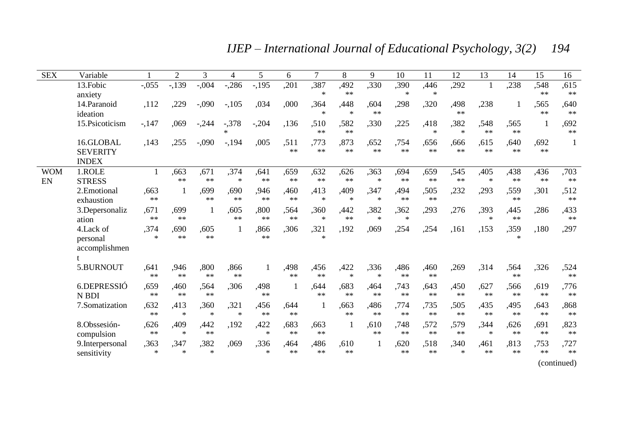*IJEP – International Journal of Educational Psychology, 3(2) 194*

| <b>SEX</b> | Variable         |              | $\overline{2}$ | 3                                 | 4                 | 5            | 6            | 7                    | 8              | 9                                         | 10            | 11                    | 12             | 13           | 14            | 15         | 16          |
|------------|------------------|--------------|----------------|-----------------------------------|-------------------|--------------|--------------|----------------------|----------------|-------------------------------------------|---------------|-----------------------|----------------|--------------|---------------|------------|-------------|
|            | 13. Fobic        | $-0.055$     | $-139$         | $-.004$                           | $-.286$           | $-195$       | ,201         | ,387                 | ,492           | .330                                      | ,390          | ,446                  | .292           | 1            | ,238          | .548       | ,615        |
|            | anxiety          |              |                |                                   |                   |              |              | $\ast$               | **             |                                           | $\ast$        | $\ast$                |                |              |               | **         | $\ast$      |
|            | 14. Paranoid     | ,112         | ,229           | $-.090$                           | $-.105$           | ,034         | ,000         | ,364                 | ,448           | .604                                      | ,298          | ,320                  | ,498           | ,238         |               | .565       | ,640        |
|            | ideation         |              |                |                                   |                   |              |              | $\mathbf{x}$         | $\star$        | $**$                                      |               |                       | $**$           |              |               | $**$       | $\ast\ast$  |
|            | 15. Psicoticism  | $-147$       | ,069           | $-.244$                           | $-378$            | $-.204$      | .136         | ,510<br>**           | .582<br>**     | .330                                      | ,225          | ,418<br>$\frac{1}{2}$ | .382<br>$\ast$ | .548<br>$**$ | .565<br>**    |            | ,692<br>**  |
|            | 16.GLOBAL        | ,143         | ,255           | $-.090$                           | $-194$            | ,005         | .511         | ,773                 | ,873           | .652                                      | ,754          | .656                  | .666           | ,615         | ,640          | .692       |             |
|            | <b>SEVERITY</b>  |              |                |                                   |                   |              | **           | $**$                 | $**$           | $**$                                      | $**$          | $**$                  | $**$           | $**$         | **            | $**$       |             |
|            | <b>INDEX</b>     |              |                |                                   |                   |              |              |                      |                |                                           |               |                       |                |              |               |            |             |
| <b>WOM</b> | 1.ROLE           | $\mathbf{1}$ | ,663           | ,671                              | ,374              | .641         | ,659         | ,632                 | ,626           | ,363                                      | ,694          | ,659                  | ,545           | ,405         | ,438          | ,436       | ,703        |
| EN         | <b>STRESS</b>    |              | $**$           | $**$                              | $\ast$            | $**$         | $**$         | $**$                 | **             | $\frac{d\mathbf{x}}{dt}$                  | $**$          | $\pm\pm$              | $**$           | $\ast$       | **            | $**$       | $\ast\ast$  |
|            | 2. Emotional     | .663         | 1              | .699                              | .690              | .946         | .460         | ,413                 | ,409           | .347                                      | .494          | .505                  | ,232           | ,293         | .559          | .301       | ,512        |
|            | exhaustion       | $\ast\ast$   |                | $**$                              | **                | **           | $**$         | $\ast$               | $\ast$         | $\mathcal{R}$                             | $**$          | $**$                  |                |              | **            |            | $\ast\ast$  |
|            | 3.Depersonaliz   | ,671         | .699           |                                   | .605<br>$\pm \pm$ | ,800         | .564<br>$**$ | .360                 | ,442           | .382                                      | .362          | ,293                  | ,276           | .393         | ,445          | .286       | ,433        |
|            | ation            | $**$         | **             |                                   |                   | $**$         |              | $\mathbf{x}$         | **             | $\mathcal{H}$                             | $\mathcal{R}$ |                       |                | $\mathbf{x}$ | **            |            | **          |
|            | 4.Lack of        | .374         | .690           | .605<br>**                        |                   | .866<br>$**$ | .306         | ,321<br>$\mathbf{x}$ | .192           | .069                                      | ,254          | ,254                  | .161           | .153         | .359          | .180       | ,297        |
|            | personal         | $\ast$       | **             |                                   |                   |              |              |                      |                |                                           |               |                       |                |              | $\frac{1}{2}$ |            |             |
|            | accomplishmen    |              |                |                                   |                   |              |              |                      |                |                                           |               |                       |                |              |               |            |             |
|            |                  |              |                |                                   |                   |              |              |                      |                |                                           |               |                       |                |              |               |            |             |
|            | 5.BURNOUT        | ,641<br>**   | .946<br>**     | .800<br>**                        | .866<br>**        | 1            | .498<br>**   | ,456<br>$**$         | ,422<br>$\ast$ | ,336<br>$\frac{d\mathbf{x}}{d\mathbf{x}}$ | .486<br>$**$  | ,460<br>$**$          | .269           | ,314         | .564<br>**    | .326       | ,524<br>**  |
|            | 6.DEPRESSIÓ      | .659         | .460           | .564                              | .306              | .498         |              | .644                 | .683           | .464                                      | .743          | .643                  | .450           | .627         | .566          | .619       | .776        |
|            | N BDI            | **           | **             | $**$                              |                   | $**$         |              | $**$                 | **             | $**$                                      | **            | $**$                  | $**$           | $**$         | **            | $\ast\ast$ | $\ast$      |
|            | 7.Somatization   | .632         | ,413           | ,360                              | ,321              | ,456         | .644         |                      | .663           | .486                                      | .774          | .735                  | ,505           | ,435         | ,495          | .643       | ,868        |
|            |                  | **           | $\ast$         | $\frac{d\mathbf{x}}{d\mathbf{x}}$ | $\ast$            | **           | **           |                      | **             | **                                        | $**$          | $**$                  | $**$           | $**$         | **            | $**$       | **          |
|            | 8.Obssesión-     | .626         | .409           | ,442                              | ,192              | ,422         | .683         | .663                 | 1              | .610                                      | .748          | .572                  | .579           | .344         | .626          | .691       | ,823        |
|            | compulsion       | $**$         | $\ast$         | $**$                              |                   | $\ast$       | **           | $**$                 |                | **                                        | $**$          | $**$                  | **             | $\ast$       | **            | $**$       | $**$        |
|            | 9. Interpersonal | .363         | ,347           | ,382                              | ,069              | ,336         | ,464         | ,486                 | .610           | $\mathbf{1}$                              | ,620          | .518                  | ,340           | ,461         | .813          | .753       | ,727        |
|            | sensitivity      | $\ast$       | $\mathbf{k}$   | $\frac{d\mathbf{x}}{d\mathbf{x}}$ |                   | $\mathbf{k}$ | **           | **                   | $**$           |                                           | **            | $**$                  | $\frac{1}{2}$  | $**$         | **            | $**$       | $**$        |
|            |                  |              |                |                                   |                   |              |              |                      |                |                                           |               |                       |                |              |               |            | (continued) |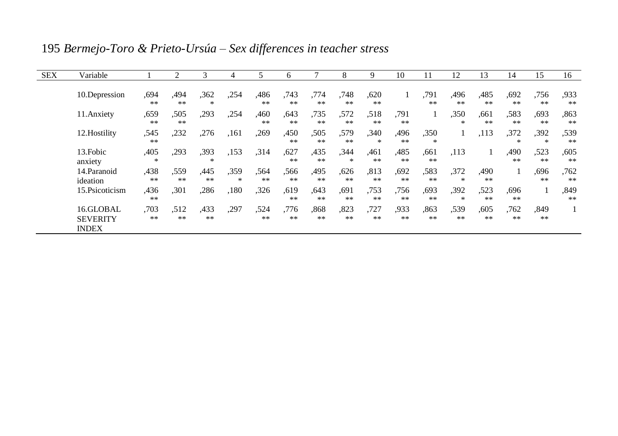| <b>SEX</b> | Variable                                     |                | 2          | 3          | 4           | 5          | 6          |            | 8              | 9          | 10           | 11                    | 12             | 13         | 14          | 15             | 16                 |
|------------|----------------------------------------------|----------------|------------|------------|-------------|------------|------------|------------|----------------|------------|--------------|-----------------------|----------------|------------|-------------|----------------|--------------------|
|            | 10.Depression                                | .694<br>$**$   | .494<br>** | .362<br>*  | ,254        | .486<br>** | .743<br>** | .774<br>** | .748<br>**     | .620<br>** |              | .791<br>**            | .496<br>**     | .485<br>** | .692<br>**  | .756<br>**     | ,933<br>$\ast\ast$ |
|            | 11. Anxiety                                  | .659<br>**     | .505<br>** | .293       | .254        | ,460<br>** | .643<br>** | ,735<br>** | .572<br>**     | .518<br>** | .791<br>$**$ | $\mathbf{I}$          | .350<br>$\ast$ | ,661<br>** | .583<br>**  | .693<br>**     | ,863<br>$\ast\ast$ |
|            | 12. Hostility                                | ,545<br>$**$   | ,232       | ,276       | .161        | ,269       | ,450<br>** | .505<br>** | .579<br>**     | ,340<br>*  | .496<br>**   | ,350<br>$\frac{1}{2}$ |                | ,113       | ,372<br>$*$ | .392<br>$\ast$ | ,539<br>**         |
|            | 13. Fobic<br>anxiety                         | ,405<br>$\ast$ | .293       | .393<br>永  | ,153        | .314       | ,627<br>** | ,435<br>** | ,344<br>$\ast$ | .461<br>** | ,485<br>**   | .661<br>**            | ,113           | 1          | .490<br>**  | .523<br>**     | ,605<br>$\ast\ast$ |
|            | 14. Paranoid<br>ideation                     | .438<br>**     | .559<br>** | ,445<br>** | .359<br>$*$ | .564<br>** | .566<br>** | .495<br>** | .626<br>**     | .813<br>** | .692<br>**   | .583<br>**            | .372<br>$\ast$ | .490<br>** | 1           | .696<br>**     | .762<br>$\ast\ast$ |
|            | 15. Psicoticism                              | ,436<br>$**$   | ,301       | ,286       | ,180        | ,326       | .619<br>** | .643<br>** | ,691<br>**     | .753<br>** | .756<br>**   | .693<br>**            | .392<br>$\ast$ | .523<br>** | .696<br>**  |                | ,849<br>**         |
|            | 16.GLOBAL<br><b>SEVERITY</b><br><b>INDEX</b> | .703<br>**     | .512<br>** | .433<br>** | ,297        | .524<br>** | .776<br>** | .868<br>** | ,823<br>**     | ,727<br>** | .933<br>**   | .863<br>**            | .539<br>**     | ,605<br>** | .762<br>**  | .849<br>**     |                    |

195 *Bermejo-Toro & Prieto-Ursúa – Sex differences in teacher stress*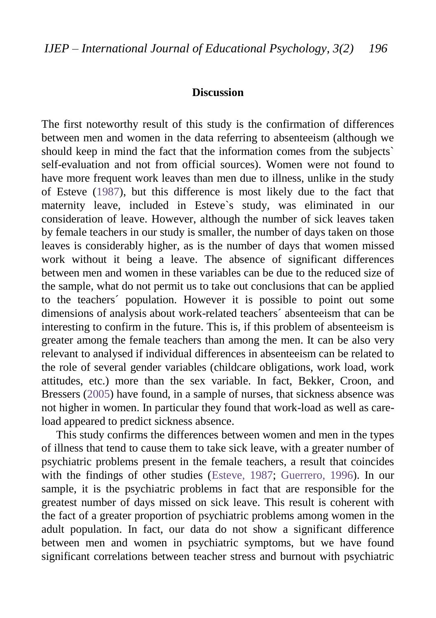#### **Discussion**

The first noteworthy result of this study is the confirmation of differences between men and women in the data referring to absenteeism (although we should keep in mind the fact that the information comes from the subjects` self-evaluation and not from official sources). Women were not found to have more frequent work leaves than men due to illness, unlike in the study of Esteve [\(1987\)](#page-25-2), but this difference is most likely due to the fact that maternity leave, included in Esteve`s study, was eliminated in our consideration of leave. However, although the number of sick leaves taken by female teachers in our study is smaller, the number of days taken on those leaves is considerably higher, as is the number of days that women missed work without it being a leave. The absence of significant differences between men and women in these variables can be due to the reduced size of the sample, what do not permit us to take out conclusions that can be applied to the teachers´ population. However it is possible to point out some dimensions of analysis about work-related teachers´ absenteeism that can be interesting to confirm in the future. This is, if this problem of absenteeism is greater among the female teachers than among the men. It can be also very relevant to analysed if individual differences in absenteeism can be related to the role of several gender variables (childcare obligations, work load, work attitudes, etc.) more than the sex variable. In fact, Bekker, Croon, and Bressers [\(2005\)](#page-24-6) have found, in a sample of nurses, that sickness absence was not higher in women. In particular they found that work-load as well as careload appeared to predict sickness absence.

This study confirms the differences between women and men in the types of illness that tend to cause them to take sick leave, with a greater number of psychiatric problems present in the female teachers, a result that coincides with the findings of other studies [\(Esteve, 1987;](#page-25-2) [Guerrero, 1996\)](#page-26-4). In our sample, it is the psychiatric problems in fact that are responsible for the greatest number of days missed on sick leave. This result is coherent with the fact of a greater proportion of psychiatric problems among women in the adult population. In fact, our data do not show a significant difference between men and women in psychiatric symptoms, but we have found significant correlations between teacher stress and burnout with psychiatric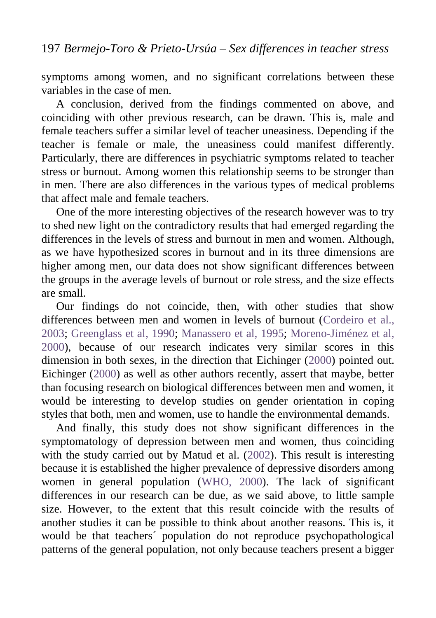symptoms among women, and no significant correlations between these variables in the case of men.

A conclusion, derived from the findings commented on above, and coinciding with other previous research, can be drawn. This is, male and female teachers suffer a similar level of teacher uneasiness. Depending if the teacher is female or male, the uneasiness could manifest differently. Particularly, there are differences in psychiatric symptoms related to teacher stress or burnout. Among women this relationship seems to be stronger than in men. There are also differences in the various types of medical problems that affect male and female teachers.

One of the more interesting objectives of the research however was to try to shed new light on the contradictory results that had emerged regarding the differences in the levels of stress and burnout in men and women. Although, as we have hypothesized scores in burnout and in its three dimensions are higher among men, our data does not show significant differences between the groups in the average levels of burnout or role stress, and the size effects are small.

Our findings do not coincide, then, with other studies that show differences between men and women in levels of burnout [\(Cordeiro et al.,](#page-25-4)  [2003;](#page-25-4) [Greenglass et al, 1990;](#page-26-9) [Manassero et al, 1995;](#page-26-3) [Moreno-Jiménez et al,](#page-27-3)  [2000\)](#page-27-3), because of our research indicates very similar scores in this dimension in both sexes, in the direction that Eichinger (2000) pointed out. Eichinger [\(2000\)](#page-25-3) as well as other authors recently, assert that maybe, better than focusing research on biological differences between men and women, it would be interesting to develop studies on gender orientation in coping styles that both, men and women, use to handle the environmental demands.

And finally, this study does not show significant differences in the symptomatology of depression between men and women, thus coinciding with the study carried out by Matud et al. [\(2002\)](#page-26-5). This result is interesting because it is established the higher prevalence of depressive disorders among women in general population [\(WHO, 2000\)](#page-27-6). The lack of significant differences in our research can be due, as we said above, to little sample size. However, to the extent that this result coincide with the results of another studies it can be possible to think about another reasons. This is, it would be that teachers´ population do not reproduce psychopathological patterns of the general population, not only because teachers present a bigger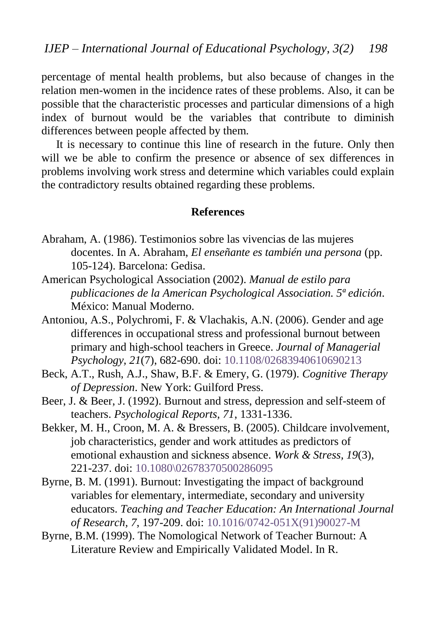percentage of mental health problems, but also because of changes in the relation men-women in the incidence rates of these problems. Also, it can be possible that the characteristic processes and particular dimensions of a high index of burnout would be the variables that contribute to diminish differences between people affected by them.

It is necessary to continue this line of research in the future. Only then will we be able to confirm the presence or absence of sex differences in problems involving work stress and determine which variables could explain the contradictory results obtained regarding these problems.

#### **References**

- <span id="page-24-1"></span>Abraham, A. (1986). Testimonios sobre las vivencias de las mujeres docentes. In A. Abraham, *El enseñante es también una persona* (pp. 105-124). Barcelona: Gedisa.
- <span id="page-24-5"></span>American Psychological Association (2002). *Manual de estilo para publicaciones de la American Psychological Association. 5ª edición*. México: Manual Moderno.
- <span id="page-24-2"></span>Antoniou, A.S., Polychromi, F. & Vlachakis, A.N. (2006). Gender and age differences in occupational stress and professional burnout between primary and high-school teachers in Greece. *Journal of Managerial Psychology, 21*(7), 682-690. doi: [10.1108/02683940610690213](http://dx.doi.org/10.1108/02683940610690213)
- Beck, A.T., Rush, A.J., Shaw, B.F. & Emery, G. (1979). *Cognitive Therapy of Depression*. New York: Guilford Press.
- <span id="page-24-3"></span>Beer, J. & Beer, J. (1992). Burnout and stress, depression and self-steem of teachers. *Psychological Reports, 71*, 1331-1336.
- <span id="page-24-6"></span>Bekker, M. H., Croon, M. A. & Bressers, B. (2005). Childcare involvement, job characteristics, gender and work attitudes as predictors of emotional exhaustion and sickness absence. *Work & Stress, 19*(3), 221-237. doi: [10.1080\02678370500286095](http://dx.doi.org/10.1080/02678370500286095)
- <span id="page-24-4"></span>Byrne, B. M. (1991). Burnout: Investigating the impact of background variables for elementary, intermediate, secondary and university educators. *Teaching and Teacher Education: An International Journal of Research, 7*, 197-209. doi: [10.1016/0742-051X\(91\)90027-M](http://dx.doi.org/10.1016/0742-051X(91)90027-M)
- <span id="page-24-0"></span>Byrne, B.M. (1999). The Nomological Network of Teacher Burnout: A Literature Review and Empirically Validated Model. In R.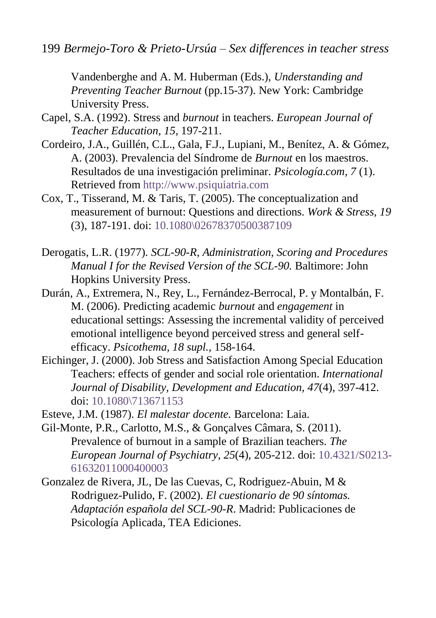199 *Bermejo-Toro & Prieto-Ursúa – Sex differences in teacher stress*

Vandenberghe and A. M. Huberman (Eds.), *Understanding and Preventing Teacher Burnout* (pp.15-37). New York: Cambridge University Press.

- <span id="page-25-5"></span>Capel, S.A. (1992). Stress and *burnout* in teachers. *European Journal of Teacher Education, 15,* 197-211.
- <span id="page-25-4"></span>Cordeiro, J.A., Guillén, C.L., Gala, F.J., Lupiani, M., Benítez, A. & Gómez, A. (2003). Prevalencia del Síndrome de *Burnout* en los maestros. Resultados de una investigación preliminar. *Psicología.com, 7* (1). Retrieved from [http://www.psiquiatria.com](http://www.psiquiatria.com/)
- <span id="page-25-6"></span>Cox, T., Tisserand, M. & Taris, T. (2005). The conceptualization and measurement of burnout: Questions and directions. *Work & Stress, 19* (3), 187-191. doi[: 10.1080\02678370500387109](http://dx.doi.org/10.1080/02678370500387109)
- Derogatis, L.R. (1977). *SCL-90-R, Administration, Scoring and Procedures Manual I for the Revised Version of the SCL-90.* Baltimore: John Hopkins University Press.
- <span id="page-25-0"></span>Durán, A., Extremera, N., Rey, L., Fernández-Berrocal, P. y Montalbán, F. M. (2006). Predicting academic *burnout* and *engagement* in educational settings: Assessing the incremental validity of perceived emotional intelligence beyond perceived stress and general selfefficacy. *Psicothema, 18 supl.,* 158-164.
- <span id="page-25-3"></span>Eichinger, J. (2000). Job Stress and Satisfaction Among Special Education Teachers: effects of gender and social role orientation*. International Journal of Disability, Development and Education, 47*(4), 397-412. doi: [10.1080\713671153](http://dx.doi.org/10.1080/713671153)
- <span id="page-25-2"></span>Esteve, J.M. (1987). *El malestar docente.* Barcelona: Laia.
- <span id="page-25-1"></span>Gil-Monte, P.R., Carlotto, M.S., & Gonçalves Câmara, S. (2011). Prevalence of burnout in a sample of Brazilian teachers. *The European Journal of Psychiatry*, *25*(4), 205-212. doi: [10.4321/S0213-](http://dx.doi.org/10.4321/S0213-61632011000400003) [61632011000400003](http://dx.doi.org/10.4321/S0213-61632011000400003)
- Gonzalez de Rivera, JL, De las Cuevas, C, Rodriguez-Abuin, M & Rodriguez-Pulido, F. (2002). *El cuestionario de 90 síntomas. Adaptación española del SCL-90-R*. Madrid: Publicaciones de Psicología Aplicada, TEA Ediciones.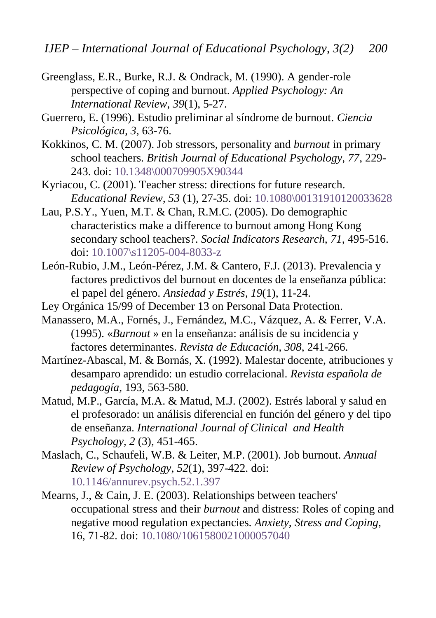- <span id="page-26-9"></span>Greenglass, E.R., Burke, R.J. & Ondrack, M. (1990). A gender-role perspective of coping and burnout. *Applied Psychology: An International Review, 39*(1), 5-27.
- <span id="page-26-4"></span>Guerrero, E. (1996). Estudio preliminar al síndrome de burnout. *Ciencia Psicológica, 3*, 63-76.
- <span id="page-26-1"></span>Kokkinos, C. M. (2007). Job stressors, personality and *burnout* in primary school teachers. *British Journal of Educational Psychology, 77*, 229- 243. doi: [10.1348\000709905X90344](http://dx.doi.org/10.1348/000709905X90344)
- <span id="page-26-0"></span>Kyriacou, C. (2001). Teacher stress: directions for future research. *Educational Review, 53* (1), 27-35. doi: [10.1080\00131910120033628](http://dx.doi.org/10.1080/00131910120033628)
- <span id="page-26-10"></span>Lau, P.S.Y., Yuen, M.T. & Chan, R.M.C. (2005). Do demographic characteristics make a difference to burnout among Hong Kong secondary school teachers?. *Social Indicators Research, 71*, 495-516. doi: [10.1007\s11205-004-8033-z](http://dx.doi.org/10.1007/s11205-004-8033-z)
- <span id="page-26-7"></span>León-Rubio, J.M., León-Pérez, J.M. & Cantero, F.J. (2013). Prevalencia y factores predictivos del burnout en docentes de la enseñanza pública: el papel del género. *Ansiedad y Estrés, 19*(1), 11-24.
- <span id="page-26-11"></span>Ley Orgánica 15/99 of December 13 on Personal Data Protection.
- <span id="page-26-3"></span>Manassero, M.A., Fornés, J., Fernández, M.C., Vázquez, A. & Ferrer, V.A. (1995). «*Burnout* » en la enseñanza: análisis de su incidencia y factores determinantes. *Revista de Educación, 308*, 241-266.
- <span id="page-26-6"></span>Martínez-Abascal, M. & Bornás, X. (1992). Malestar docente, atribuciones y desamparo aprendido: un estudio correlacional. *Revista española de pedagogía*, 193, 563-580.
- <span id="page-26-5"></span>Matud, M.P., García, M.A. & Matud, M.J. (2002). Estrés laboral y salud en el profesorado: un análisis diferencial en función del género y del tipo de enseñanza. *International Journal of Clinical and Health Psychology, 2* (3), 451-465.
- <span id="page-26-8"></span>Maslach, C., Schaufeli, W.B. & Leiter, M.P. (2001). Job burnout. *Annual Review of Psychology*, *52*(1), 397-422. doi: [10.1146/annurev.psych.52.1.397](http://dx.doi.org/10.1146/annurev.psych.52.1.397)
- <span id="page-26-2"></span>Mearns, J., & Cain, J. E. (2003). Relationships between teachers' occupational stress and their *burnout* and distress: Roles of coping and negative mood regulation expectancies. *Anxiety, Stress and Coping*, 16, 71-82. doi: [10.1080/1061580021000057040](http://psycnet.apa.org/doi/10.1080/1061580021000057040)